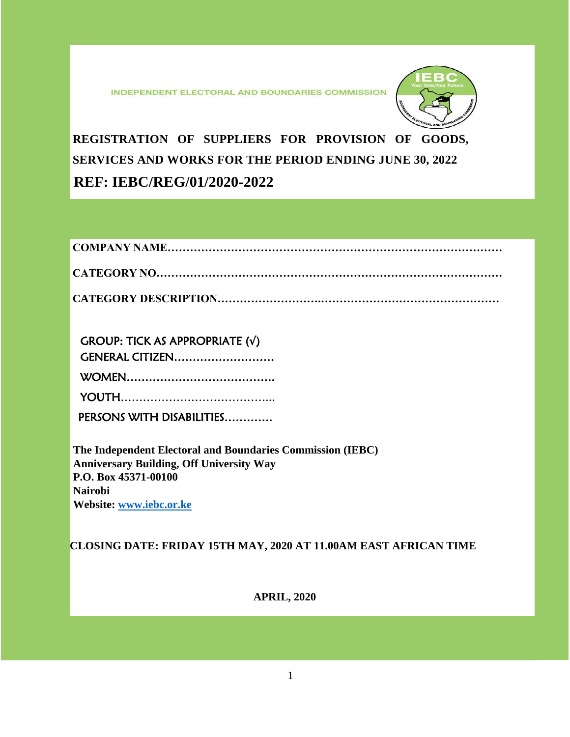**INDEPENDENT ELECTORAL AND BOUNDARIES COMMISSION** 



**REGISTRATION OF SUPPLIERS FOR PROVISION OF GOODS, SERVICES AND WORKS FOR THE PERIOD ENDING JUNE 30, 2022 REF: IEBC/REG/01/2020-2022**

| <b>GROUP: TICK AS APPROPRIATE (v)</b> |  |
|---------------------------------------|--|
| GENERAL CITIZEN                       |  |
|                                       |  |
|                                       |  |
| PERSONS WITH DISABILITIES             |  |

**The Independent Electoral and Boundaries Commission (IEBC) Anniversary Building, Off University Way P.O. Box 45371-00100 Nairobi Website: [www.iebc.or.ke](http://www.iebc.or.ke/)**

**CLOSING DATE: FRIDAY 15TH MAY, 2020 AT 11.00AM EAST AFRICAN TIME**

**APRIL, 2020**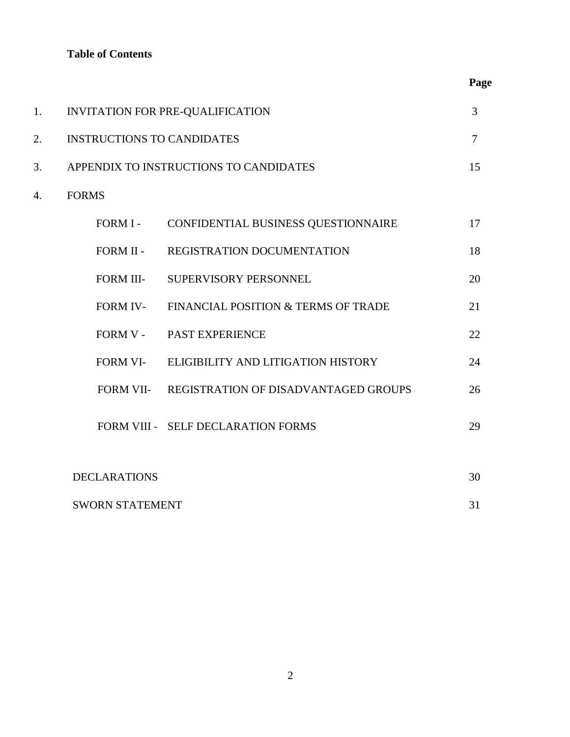# **Table of Contents**

| 1. | INVITATION FOR PRE-QUALIFICATION  |                                                |    |
|----|-----------------------------------|------------------------------------------------|----|
| 2. | <b>INSTRUCTIONS TO CANDIDATES</b> |                                                |    |
| 3. |                                   | APPENDIX TO INSTRUCTIONS TO CANDIDATES         | 15 |
| 4. | <b>FORMS</b>                      |                                                |    |
|    | FORM I-                           | CONFIDENTIAL BUSINESS QUESTIONNAIRE            | 17 |
|    | FORM II -                         | REGISTRATION DOCUMENTATION                     | 18 |
|    | FORM III-                         | SUPERVISORY PERSONNEL                          | 20 |
|    | <b>FORM IV-</b>                   | FINANCIAL POSITION & TERMS OF TRADE            | 21 |
|    | FORM V -                          | PAST EXPERIENCE                                | 22 |
|    | FORM VI-                          | ELIGIBILITY AND LITIGATION HISTORY             | 24 |
|    |                                   | FORM VII- REGISTRATION OF DISADVANTAGED GROUPS | 26 |
|    |                                   | FORM VIII - SELF DECLARATION FORMS             | 29 |
|    | <b>DECLARATIONS</b>               |                                                | 30 |
|    | <b>SWORN STATEMENT</b>            |                                                | 31 |

 **Page**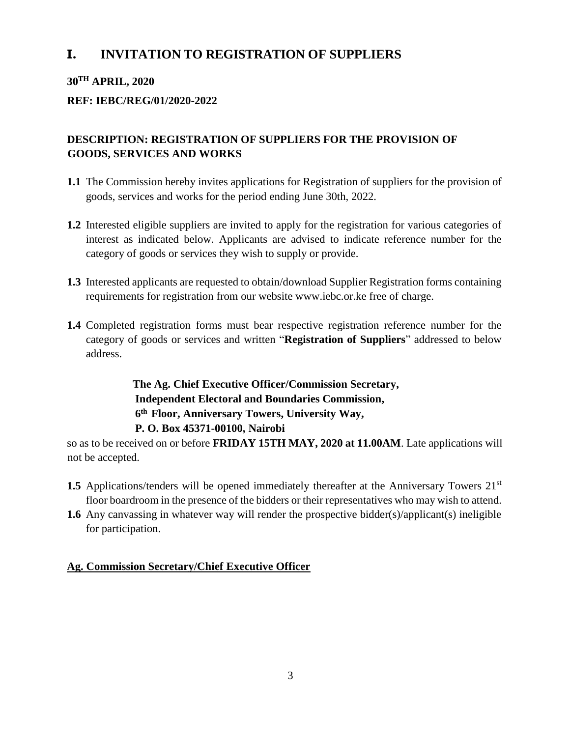# **I. INVITATION TO REGISTRATION OF SUPPLIERS**

# **30TH APRIL, 2020**

# **REF: IEBC/REG/01/2020-2022**

# **DESCRIPTION: REGISTRATION OF SUPPLIERS FOR THE PROVISION OF GOODS, SERVICES AND WORKS**

- **1.1** The Commission hereby invites applications for Registration of suppliers for the provision of goods, services and works for the period ending June 30th, 2022.
- **1.2** Interested eligible suppliers are invited to apply for the registration for various categories of interest as indicated below. Applicants are advised to indicate reference number for the category of goods or services they wish to supply or provide.
- **1.3** Interested applicants are requested to obtain/download Supplier Registration forms containing requirements for registration from our website [www.iebc.or.ke](http://www.iebc.or.ke/) free of charge.
- **1.4** Completed registration forms must bear respective registration reference number for the category of goods or services and written "**Registration of Suppliers**" addressed to below address.

**The Ag. Chief Executive Officer/Commission Secretary, Independent Electoral and Boundaries Commission, 6 th Floor, Anniversary Towers, University Way, P. O. Box 45371-00100, Nairobi**

so as to be received on or before **FRIDAY 15TH MAY, 2020 at 11.00AM**. Late applications will not be accepted.

- **1.5** Applications/tenders will be opened immediately thereafter at the Anniversary Towers 21<sup>st</sup> floor boardroom in the presence of the bidders or their representatives who may wish to attend.
- **1.6** Any canvassing in whatever way will render the prospective bidder(s)/applicant(s) ineligible for participation.

# **Ag. Commission Secretary/Chief Executive Officer**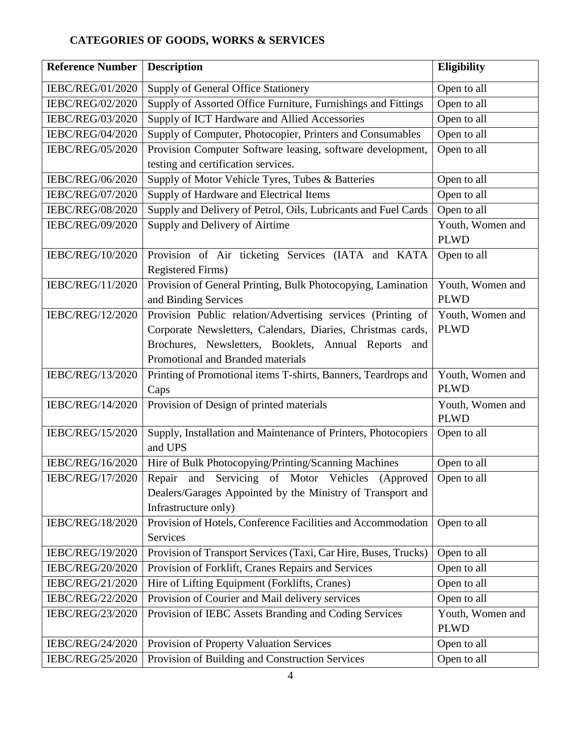# **CATEGORIES OF GOODS, WORKS & SERVICES**

| <b>Reference Number</b> | <b>Description</b>                                              | <b>Eligibility</b>         |  |
|-------------------------|-----------------------------------------------------------------|----------------------------|--|
| IEBC/REG/01/2020        | Supply of General Office Stationery                             | Open to all                |  |
| IEBC/REG/02/2020        | Supply of Assorted Office Furniture, Furnishings and Fittings   | Open to all                |  |
| IEBC/REG/03/2020        | Supply of ICT Hardware and Allied Accessories                   | Open to all                |  |
| IEBC/REG/04/2020        | Supply of Computer, Photocopier, Printers and Consumables       | Open to all                |  |
| IEBC/REG/05/2020        | Provision Computer Software leasing, software development,      | Open to all                |  |
|                         | testing and certification services.                             |                            |  |
| IEBC/REG/06/2020        | Supply of Motor Vehicle Tyres, Tubes & Batteries                | Open to all                |  |
| IEBC/REG/07/2020        | Supply of Hardware and Electrical Items                         | Open to all                |  |
| IEBC/REG/08/2020        | Supply and Delivery of Petrol, Oils, Lubricants and Fuel Cards  | Open to all                |  |
| IEBC/REG/09/2020        | Supply and Delivery of Airtime                                  | Youth, Women and           |  |
|                         |                                                                 | <b>PLWD</b>                |  |
| IEBC/REG/10/2020        | Provision of Air ticketing Services (IATA and KATA              | Open to all                |  |
|                         | <b>Registered Firms)</b>                                        |                            |  |
| IEBC/REG/11/2020        | Provision of General Printing, Bulk Photocopying, Lamination    | Youth, Women and           |  |
|                         | and Binding Services                                            | <b>PLWD</b>                |  |
| IEBC/REG/12/2020        | Provision Public relation/Advertising services (Printing of     | Youth, Women and           |  |
|                         | Corporate Newsletters, Calendars, Diaries, Christmas cards,     | <b>PLWD</b>                |  |
|                         | Brochures, Newsletters, Booklets, Annual Reports<br>and         |                            |  |
|                         | Promotional and Branded materials                               |                            |  |
| IEBC/REG/13/2020        | Printing of Promotional items T-shirts, Banners, Teardrops and  | Youth, Women and           |  |
|                         | Caps                                                            | <b>PLWD</b>                |  |
| IEBC/REG/14/2020        | Provision of Design of printed materials                        | Youth, Women and           |  |
| IEBC/REG/15/2020        | Supply, Installation and Maintenance of Printers, Photocopiers  | <b>PLWD</b><br>Open to all |  |
|                         | and UPS                                                         |                            |  |
| IEBC/REG/16/2020        | Hire of Bulk Photocopying/Printing/Scanning Machines            | Open to all                |  |
| IEBC/REG/17/2020        | Repair and Servicing of Motor Vehicles (Approved                | Open to all                |  |
|                         | Dealers/Garages Appointed by the Ministry of Transport and      |                            |  |
|                         | Infrastructure only)                                            |                            |  |
| IEBC/REG/18/2020        | Provision of Hotels, Conference Facilities and Accommodation    | Open to all                |  |
|                         | Services                                                        |                            |  |
| IEBC/REG/19/2020        | Provision of Transport Services (Taxi, Car Hire, Buses, Trucks) | Open to all                |  |
| IEBC/REG/20/2020        | Provision of Forklift, Cranes Repairs and Services              | Open to all                |  |
| IEBC/REG/21/2020        | Hire of Lifting Equipment (Forklifts, Cranes)                   | Open to all                |  |
| IEBC/REG/22/2020        | Provision of Courier and Mail delivery services                 | Open to all                |  |
| IEBC/REG/23/2020        | Provision of IEBC Assets Branding and Coding Services           | Youth, Women and           |  |
|                         | <b>PLWD</b>                                                     |                            |  |
| IEBC/REG/24/2020        | Provision of Property Valuation Services                        | Open to all                |  |
| IEBC/REG/25/2020        | Provision of Building and Construction Services                 | Open to all                |  |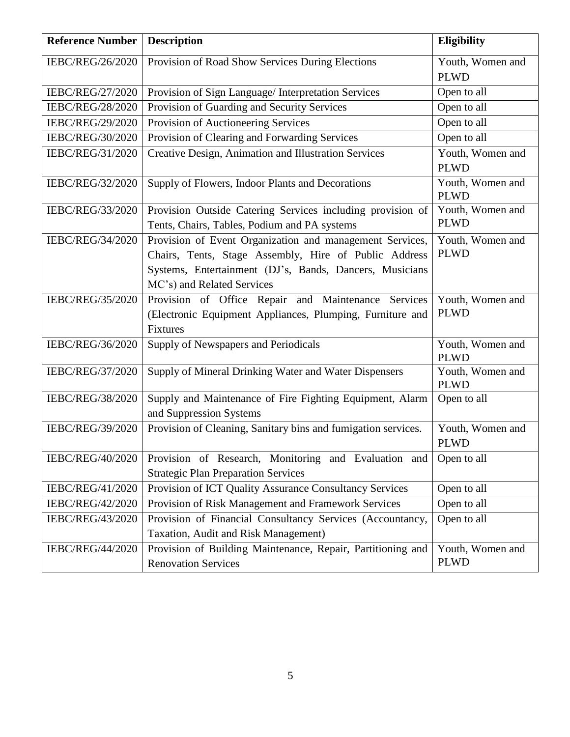| <b>Reference Number</b> | <b>Description</b>                                            | Eligibility                     |
|-------------------------|---------------------------------------------------------------|---------------------------------|
| IEBC/REG/26/2020        | Provision of Road Show Services During Elections              | Youth, Women and                |
|                         |                                                               | <b>PLWD</b>                     |
| IEBC/REG/27/2020        | Provision of Sign Language/ Interpretation Services           | Open to all                     |
| IEBC/REG/28/2020        | Provision of Guarding and Security Services                   | Open to all                     |
| IEBC/REG/29/2020        | Provision of Auctioneering Services                           | Open to all                     |
| IEBC/REG/30/2020        | Provision of Clearing and Forwarding Services                 | Open to all                     |
| IEBC/REG/31/2020        | Creative Design, Animation and Illustration Services          | Youth, Women and                |
|                         |                                                               | <b>PLWD</b>                     |
| IEBC/REG/32/2020        | Supply of Flowers, Indoor Plants and Decorations              | Youth, Women and                |
|                         |                                                               | <b>PLWD</b>                     |
| IEBC/REG/33/2020        | Provision Outside Catering Services including provision of    | Youth, Women and                |
|                         | Tents, Chairs, Tables, Podium and PA systems                  | <b>PLWD</b>                     |
| IEBC/REG/34/2020        | Provision of Event Organization and management Services,      | Youth, Women and                |
|                         | Chairs, Tents, Stage Assembly, Hire of Public Address         | <b>PLWD</b>                     |
|                         | Systems, Entertainment (DJ's, Bands, Dancers, Musicians       |                                 |
|                         | MC's) and Related Services                                    |                                 |
| IEBC/REG/35/2020        | Provision of Office Repair and Maintenance Services           | Youth, Women and                |
|                         | (Electronic Equipment Appliances, Plumping, Furniture and     | <b>PLWD</b>                     |
|                         | Fixtures                                                      |                                 |
| IEBC/REG/36/2020        | Supply of Newspapers and Periodicals                          | Youth, Women and                |
|                         |                                                               | <b>PLWD</b>                     |
| IEBC/REG/37/2020        | Supply of Mineral Drinking Water and Water Dispensers         | Youth, Women and<br><b>PLWD</b> |
| IEBC/REG/38/2020        | Supply and Maintenance of Fire Fighting Equipment, Alarm      | Open to all                     |
|                         | and Suppression Systems                                       |                                 |
| IEBC/REG/39/2020        | Provision of Cleaning, Sanitary bins and fumigation services. | Youth, Women and                |
|                         |                                                               | <b>PLWD</b>                     |
| IEBC/REG/40/2020        | Provision of Research, Monitoring and Evaluation and          | Open to all                     |
|                         | <b>Strategic Plan Preparation Services</b>                    |                                 |
| IEBC/REG/41/2020        | Provision of ICT Quality Assurance Consultancy Services       | Open to all                     |
| IEBC/REG/42/2020        | Provision of Risk Management and Framework Services           | Open to all                     |
| IEBC/REG/43/2020        | Provision of Financial Consultancy Services (Accountancy,     | Open to all                     |
|                         | Taxation, Audit and Risk Management)                          |                                 |
| IEBC/REG/44/2020        | Provision of Building Maintenance, Repair, Partitioning and   | Youth, Women and                |
|                         | <b>Renovation Services</b>                                    | <b>PLWD</b>                     |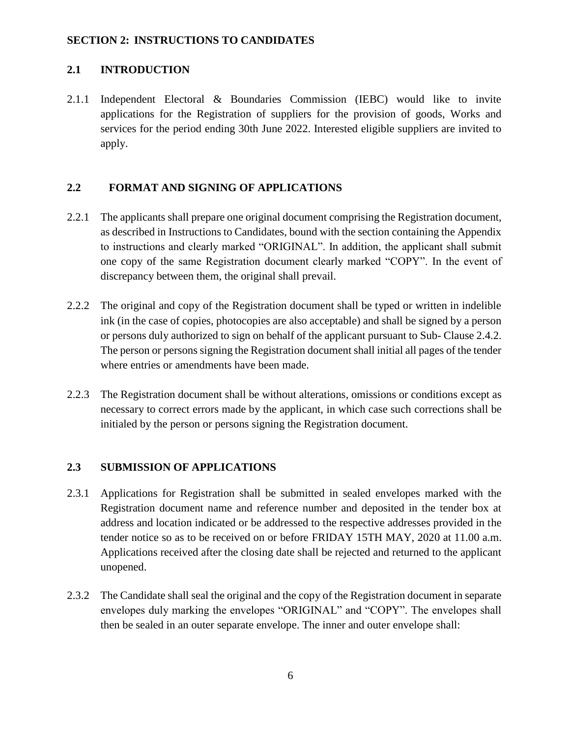#### **SECTION 2: INSTRUCTIONS TO CANDIDATES**

## **2.1 INTRODUCTION**

2.1.1 Independent Electoral & Boundaries Commission (IEBC) would like to invite applications for the Registration of suppliers for the provision of goods, Works and services for the period ending 30th June 2022. Interested eligible suppliers are invited to apply.

### **2.2 FORMAT AND SIGNING OF APPLICATIONS**

- 2.2.1 The applicants shall prepare one original document comprising the Registration document, as described in Instructions to Candidates, bound with the section containing the Appendix to instructions and clearly marked "ORIGINAL". In addition, the applicant shall submit one copy of the same Registration document clearly marked "COPY". In the event of discrepancy between them, the original shall prevail.
- 2.2.2 The original and copy of the Registration document shall be typed or written in indelible ink (in the case of copies, photocopies are also acceptable) and shall be signed by a person or persons duly authorized to sign on behalf of the applicant pursuant to Sub- Clause 2.4.2. The person or persons signing the Registration document shall initial all pages of the tender where entries or amendments have been made.
- 2.2.3 The Registration document shall be without alterations, omissions or conditions except as necessary to correct errors made by the applicant, in which case such corrections shall be initialed by the person or persons signing the Registration document.

## **2.3 SUBMISSION OF APPLICATIONS**

- 2.3.1 Applications for Registration shall be submitted in sealed envelopes marked with the Registration document name and reference number and deposited in the tender box at address and location indicated or be addressed to the respective addresses provided in the tender notice so as to be received on or before FRIDAY 15TH MAY, 2020 at 11.00 a.m. Applications received after the closing date shall be rejected and returned to the applicant unopened.
- 2.3.2 The Candidate shall seal the original and the copy of the Registration document in separate envelopes duly marking the envelopes "ORIGINAL" and "COPY". The envelopes shall then be sealed in an outer separate envelope. The inner and outer envelope shall: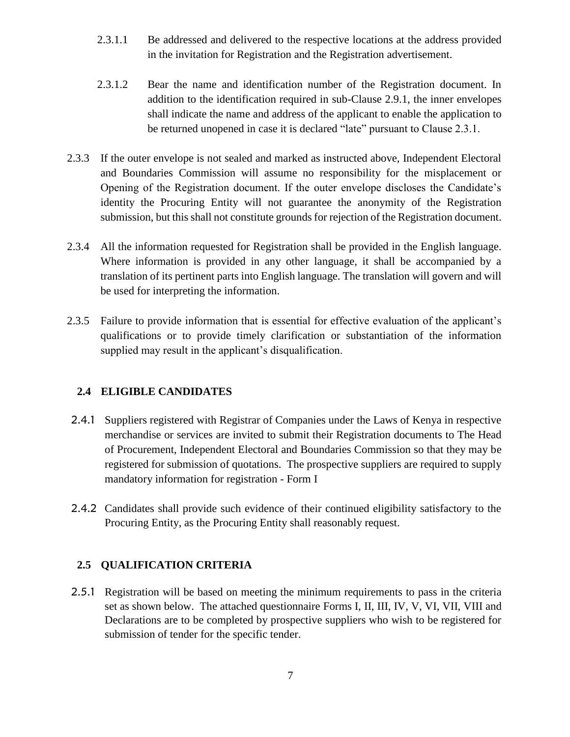- 2.3.1.1 Be addressed and delivered to the respective locations at the address provided in the invitation for Registration and the Registration advertisement.
- 2.3.1.2 Bear the name and identification number of the Registration document. In addition to the identification required in sub-Clause 2.9.1, the inner envelopes shall indicate the name and address of the applicant to enable the application to be returned unopened in case it is declared "late" pursuant to Clause 2.3.1.
- 2.3.3 If the outer envelope is not sealed and marked as instructed above, Independent Electoral and Boundaries Commission will assume no responsibility for the misplacement or Opening of the Registration document. If the outer envelope discloses the Candidate's identity the Procuring Entity will not guarantee the anonymity of the Registration submission, but this shall not constitute grounds for rejection of the Registration document.
- 2.3.4 All the information requested for Registration shall be provided in the English language. Where information is provided in any other language, it shall be accompanied by a translation of its pertinent parts into English language. The translation will govern and will be used for interpreting the information.
- 2.3.5 Failure to provide information that is essential for effective evaluation of the applicant's qualifications or to provide timely clarification or substantiation of the information supplied may result in the applicant's disqualification.

# **2.4 ELIGIBLE CANDIDATES**

- 2.4.1 Suppliers registered with Registrar of Companies under the Laws of Kenya in respective merchandise or services are invited to submit their Registration documents to The Head of Procurement, Independent Electoral and Boundaries Commission so that they may be registered for submission of quotations. The prospective suppliers are required to supply mandatory information for registration - Form I
- 2.4.2 Candidates shall provide such evidence of their continued eligibility satisfactory to the Procuring Entity, as the Procuring Entity shall reasonably request.

## **2.5 QUALIFICATION CRITERIA**

2.5.1 Registration will be based on meeting the minimum requirements to pass in the criteria set as shown below. The attached questionnaire Forms I, II, III, IV, V, VI, VII, VIII and Declarations are to be completed by prospective suppliers who wish to be registered for submission of tender for the specific tender.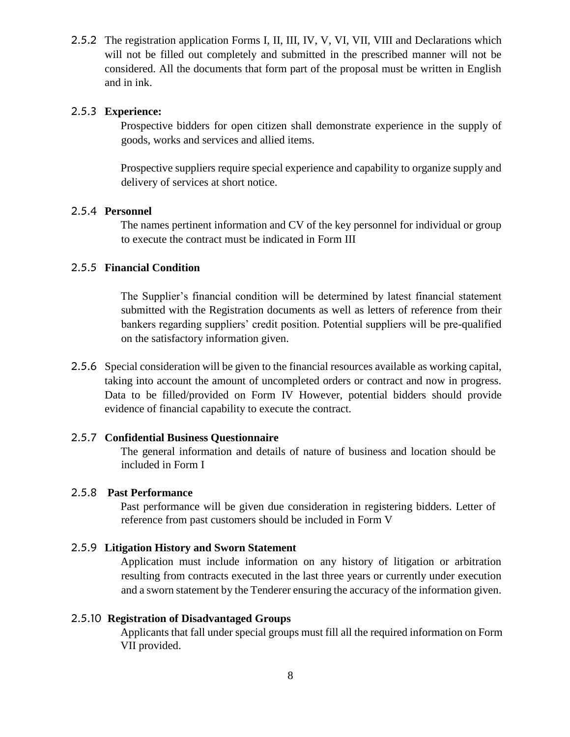2.5.2 The registration application Forms I, II, III, IV, V, VI, VII, VIII and Declarations which will not be filled out completely and submitted in the prescribed manner will not be considered. All the documents that form part of the proposal must be written in English and in ink.

#### 2.5.3 **Experience:**

Prospective bidders for open citizen shall demonstrate experience in the supply of goods, works and services and allied items.

Prospective suppliers require special experience and capability to organize supply and delivery of services at short notice.

#### 2.5.4 **Personnel**

The names pertinent information and CV of the key personnel for individual or group to execute the contract must be indicated in Form III

#### 2.5.5 **Financial Condition**

The Supplier's financial condition will be determined by latest financial statement submitted with the Registration documents as well as letters of reference from their bankers regarding suppliers' credit position. Potential suppliers will be pre-qualified on the satisfactory information given.

2.5.6 Special consideration will be given to the financial resources available as working capital, taking into account the amount of uncompleted orders or contract and now in progress. Data to be filled/provided on Form IV However, potential bidders should provide evidence of financial capability to execute the contract.

#### 2.5.7 **Confidential Business Questionnaire**

The general information and details of nature of business and location should be included in Form I

#### 2.5.8 **Past Performance**

Past performance will be given due consideration in registering bidders. Letter of reference from past customers should be included in Form V

#### 2.5.9 **Litigation History and Sworn Statement**

Application must include information on any history of litigation or arbitration resulting from contracts executed in the last three years or currently under execution and a sworn statement by the Tenderer ensuring the accuracy of the information given.

#### 2.5.10 **Registration of Disadvantaged Groups**

Applicants that fall under special groups must fill all the required information on Form VII provided.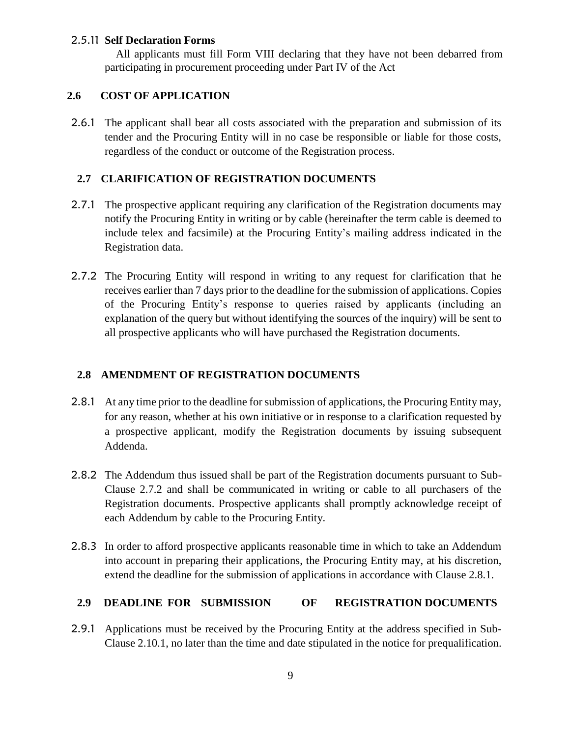#### 2.5.11 **Self Declaration Forms**

All applicants must fill Form VIII declaring that they have not been debarred from participating in procurement proceeding under Part IV of the Act

#### **2.6 COST OF APPLICATION**

2.6.1 The applicant shall bear all costs associated with the preparation and submission of its tender and the Procuring Entity will in no case be responsible or liable for those costs, regardless of the conduct or outcome of the Registration process.

## **2.7 CLARIFICATION OF REGISTRATION DOCUMENTS**

- 2.7.1 The prospective applicant requiring any clarification of the Registration documents may notify the Procuring Entity in writing or by cable (hereinafter the term cable is deemed to include telex and facsimile) at the Procuring Entity's mailing address indicated in the Registration data.
- 2.7.2 The Procuring Entity will respond in writing to any request for clarification that he receives earlier than 7 days prior to the deadline for the submission of applications. Copies of the Procuring Entity's response to queries raised by applicants (including an explanation of the query but without identifying the sources of the inquiry) will be sent to all prospective applicants who will have purchased the Registration documents.

## **2.8 AMENDMENT OF REGISTRATION DOCUMENTS**

- 2.8.1 At any time prior to the deadline for submission of applications, the Procuring Entity may, for any reason, whether at his own initiative or in response to a clarification requested by a prospective applicant, modify the Registration documents by issuing subsequent Addenda.
- 2.8.2 The Addendum thus issued shall be part of the Registration documents pursuant to Sub-Clause 2.7.2 and shall be communicated in writing or cable to all purchasers of the Registration documents. Prospective applicants shall promptly acknowledge receipt of each Addendum by cable to the Procuring Entity.
- 2.8.3 In order to afford prospective applicants reasonable time in which to take an Addendum into account in preparing their applications, the Procuring Entity may, at his discretion, extend the deadline for the submission of applications in accordance with Clause 2.8.1.

## **2.9 DEADLINE FOR SUBMISSION OF REGISTRATION DOCUMENTS**

2.9.1 Applications must be received by the Procuring Entity at the address specified in Sub-Clause 2.10.1, no later than the time and date stipulated in the notice for prequalification.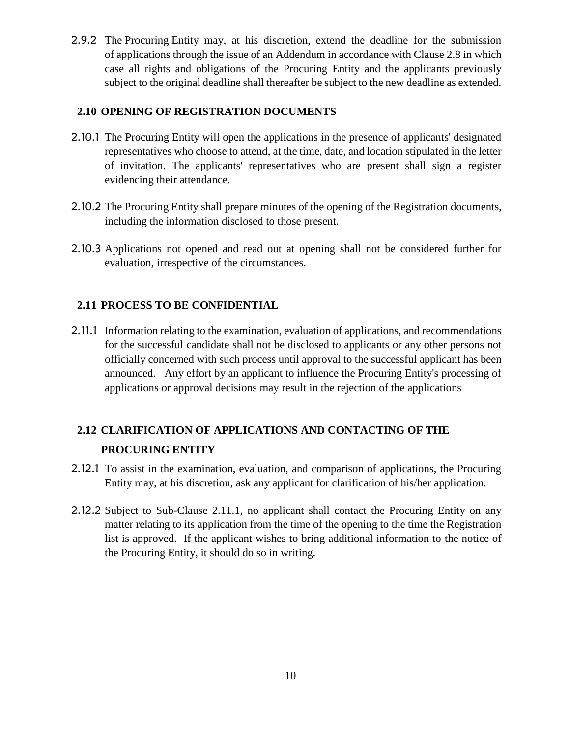2.9.2 The Procuring Entity may, at his discretion, extend the deadline for the submission of applications through the issue of an Addendum in accordance with Clause 2.8 in which case all rights and obligations of the Procuring Entity and the applicants previously subject to the original deadline shall thereafter be subject to the new deadline as extended.

#### **2.10 OPENING OF REGISTRATION DOCUMENTS**

- 2.10.1 The Procuring Entity will open the applications in the presence of applicants' designated representatives who choose to attend, at the time, date, and location stipulated in the letter of invitation. The applicants' representatives who are present shall sign a register evidencing their attendance.
- 2.10.2 The Procuring Entity shall prepare minutes of the opening of the Registration documents, including the information disclosed to those present.
- 2.10.3 Applications not opened and read out at opening shall not be considered further for evaluation, irrespective of the circumstances.

## **2.11 PROCESS TO BE CONFIDENTIAL**

2.11.1 Information relating to the examination, evaluation of applications, and recommendations for the successful candidate shall not be disclosed to applicants or any other persons not officially concerned with such process until approval to the successful applicant has been announced. Any effort by an applicant to influence the Procuring Entity's processing of applications or approval decisions may result in the rejection of the applications

# **2.12 CLARIFICATION OF APPLICATIONS AND CONTACTING OF THE PROCURING ENTITY**

- 2.12.1 To assist in the examination, evaluation, and comparison of applications, the Procuring Entity may, at his discretion, ask any applicant for clarification of his/her application.
- 2.12.2 Subject to Sub-Clause 2.11.1, no applicant shall contact the Procuring Entity on any matter relating to its application from the time of the opening to the time the Registration list is approved. If the applicant wishes to bring additional information to the notice of the Procuring Entity, it should do so in writing.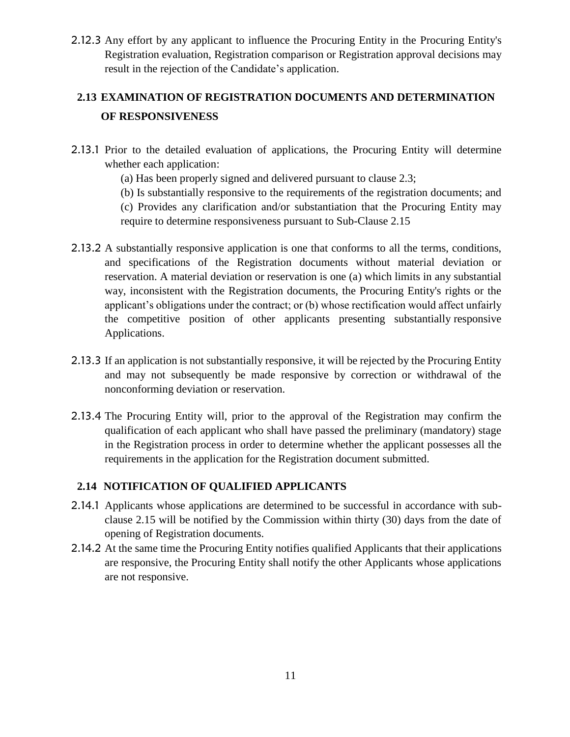2.12.3 Any effort by any applicant to influence the Procuring Entity in the Procuring Entity's Registration evaluation, Registration comparison or Registration approval decisions may result in the rejection of the Candidate's application.

# **2.13 EXAMINATION OF REGISTRATION DOCUMENTS AND DETERMINATION OF RESPONSIVENESS**

- 2.13.1 Prior to the detailed evaluation of applications, the Procuring Entity will determine whether each application:
	- (a) Has been properly signed and delivered pursuant to clause 2.3;
	- (b) Is substantially responsive to the requirements of the registration documents; and

(c) Provides any clarification and/or substantiation that the Procuring Entity may require to determine responsiveness pursuant to Sub-Clause 2.15

- 2.13.2 A substantially responsive application is one that conforms to all the terms, conditions, and specifications of the Registration documents without material deviation or reservation. A material deviation or reservation is one (a) which limits in any substantial way, inconsistent with the Registration documents, the Procuring Entity's rights or the applicant's obligations under the contract; or (b) whose rectification would affect unfairly the competitive position of other applicants presenting substantially responsive Applications.
- 2.13.3 If an application is not substantially responsive, it will be rejected by the Procuring Entity and may not subsequently be made responsive by correction or withdrawal of the nonconforming deviation or reservation.
- 2.13.4 The Procuring Entity will, prior to the approval of the Registration may confirm the qualification of each applicant who shall have passed the preliminary (mandatory) stage in the Registration process in order to determine whether the applicant possesses all the requirements in the application for the Registration document submitted.

## **2.14 NOTIFICATION OF QUALIFIED APPLICANTS**

- 2.14.1 Applicants whose applications are determined to be successful in accordance with subclause 2.15 will be notified by the Commission within thirty (30) days from the date of opening of Registration documents.
- 2.14.2 At the same time the Procuring Entity notifies qualified Applicants that their applications are responsive, the Procuring Entity shall notify the other Applicants whose applications are not responsive.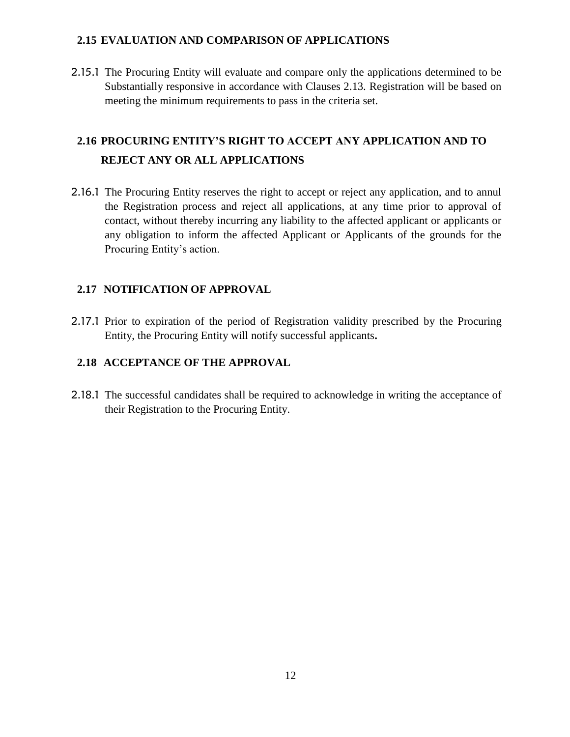## **2.15 EVALUATION AND COMPARISON OF APPLICATIONS**

2.15.1 The Procuring Entity will evaluate and compare only the applications determined to be Substantially responsive in accordance with Clauses 2.13. Registration will be based on meeting the minimum requirements to pass in the criteria set.

# **2.16 PROCURING ENTITY'S RIGHT TO ACCEPT ANY APPLICATION AND TO REJECT ANY OR ALL APPLICATIONS**

2.16.1 The Procuring Entity reserves the right to accept or reject any application, and to annul the Registration process and reject all applications, at any time prior to approval of contact, without thereby incurring any liability to the affected applicant or applicants or any obligation to inform the affected Applicant or Applicants of the grounds for the Procuring Entity's action.

# **2.17 NOTIFICATION OF APPROVAL**

2.17.1 Prior to expiration of the period of Registration validity prescribed by the Procuring Entity, the Procuring Entity will notify successful applicants**.** 

# **2.18 ACCEPTANCE OF THE APPROVAL**

2.18.1 The successful candidates shall be required to acknowledge in writing the acceptance of their Registration to the Procuring Entity.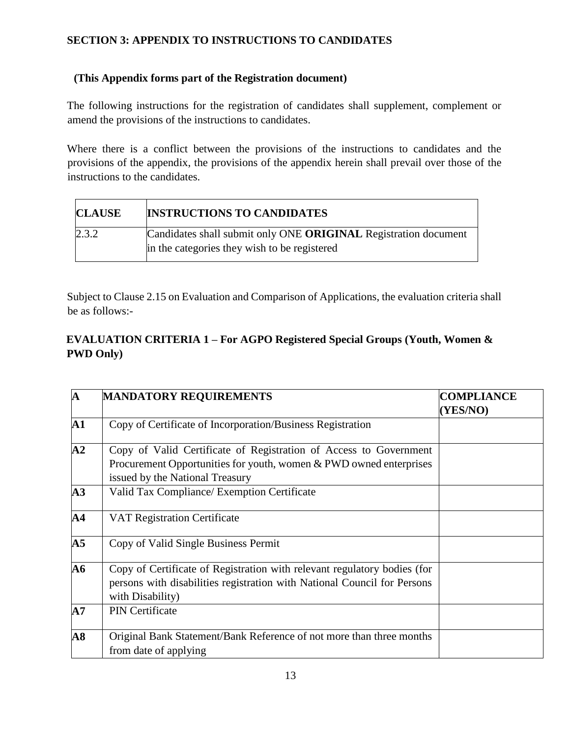# **SECTION 3: APPENDIX TO INSTRUCTIONS TO CANDIDATES**

## **(This Appendix forms part of the Registration document)**

The following instructions for the registration of candidates shall supplement, complement or amend the provisions of the instructions to candidates.

Where there is a conflict between the provisions of the instructions to candidates and the provisions of the appendix, the provisions of the appendix herein shall prevail over those of the instructions to the candidates.

| <b>INSTRUCTIONS TO CANDIDATES</b><br><b>CLAUSE</b> |                                                                                                                 |
|----------------------------------------------------|-----------------------------------------------------------------------------------------------------------------|
| 2.3.2                                              | Candidates shall submit only ONE ORIGINAL Registration document<br>in the categories they wish to be registered |

Subject to Clause 2.15 on Evaluation and Comparison of Applications, the evaluation criteria shall be as follows:-

# **EVALUATION CRITERIA 1 – For AGPO Registered Special Groups (Youth, Women & PWD Only)**

| $\mathbf{A}$             | <b>MANDATORY REQUIREMENTS</b>                                                                                                                                                | <b>COMPLIANCE</b><br>(YES/NO) |
|--------------------------|------------------------------------------------------------------------------------------------------------------------------------------------------------------------------|-------------------------------|
| ${\bf A1}$               | Copy of Certificate of Incorporation/Business Registration                                                                                                                   |                               |
| $\bf{A2}$                | Copy of Valid Certificate of Registration of Access to Government<br>Procurement Opportunities for youth, women $&$ PWD owned enterprises<br>issued by the National Treasury |                               |
| $\overline{A3}$          | Valid Tax Compliance/ Exemption Certificate                                                                                                                                  |                               |
| ${\bf A4}$               | <b>VAT Registration Certificate</b>                                                                                                                                          |                               |
| A <sub>5</sub>           | Copy of Valid Single Business Permit                                                                                                                                         |                               |
| <b>A6</b>                | Copy of Certificate of Registration with relevant regulatory bodies (for<br>persons with disabilities registration with National Council for Persons<br>with Disability)     |                               |
| A7                       | <b>PIN</b> Certificate                                                                                                                                                       |                               |
| $\overline{\mathbf{A8}}$ | Original Bank Statement/Bank Reference of not more than three months<br>from date of applying                                                                                |                               |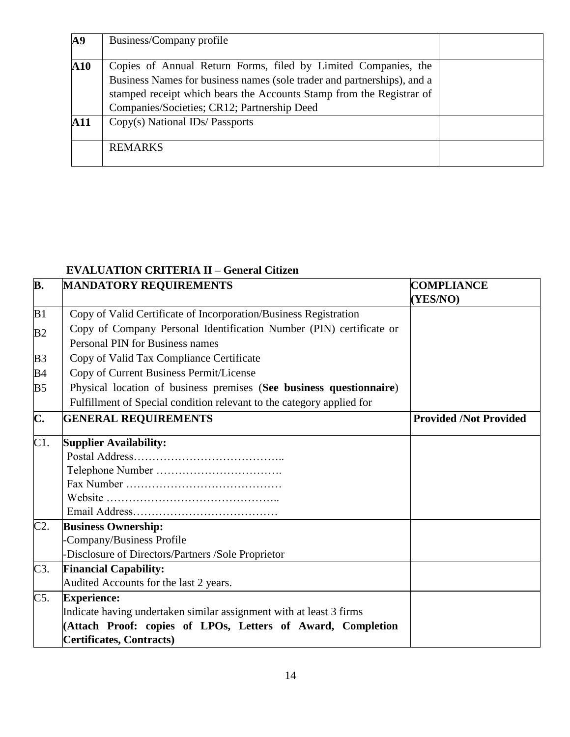| A <sub>9</sub> | Business/Company profile                                                                                                                                                                                                                                         |  |
|----------------|------------------------------------------------------------------------------------------------------------------------------------------------------------------------------------------------------------------------------------------------------------------|--|
| ${\bf A10}$    | Copies of Annual Return Forms, filed by Limited Companies, the<br>Business Names for business names (sole trader and partnerships), and a<br>stamped receipt which bears the Accounts Stamp from the Registrar of<br>Companies/Societies; CR12; Partnership Deed |  |
| <b>A11</b>     | Copy(s) National IDs/Passports                                                                                                                                                                                                                                   |  |
|                | <b>REMARKS</b>                                                                                                                                                                                                                                                   |  |

# **EVALUATION CRITERIA II – General Citizen**

| B.             | MANDATORY REQUIREMENTS                                                                                 | <b>COMPLIANCE</b><br>(YES/NO) |
|----------------|--------------------------------------------------------------------------------------------------------|-------------------------------|
| B1             | Copy of Valid Certificate of Incorporation/Business Registration                                       |                               |
| B <sub>2</sub> | Copy of Company Personal Identification Number (PIN) certificate or<br>Personal PIN for Business names |                               |
|                |                                                                                                        |                               |
| B <sub>3</sub> | Copy of Valid Tax Compliance Certificate                                                               |                               |
| B <sub>4</sub> | Copy of Current Business Permit/License                                                                |                               |
| B <sub>5</sub> | Physical location of business premises (See business questionnaire)                                    |                               |
|                | Fulfillment of Special condition relevant to the category applied for                                  |                               |
| C.             | <b>GENERAL REQUIREMENTS</b>                                                                            | <b>Provided /Not Provided</b> |
| C1.            | <b>Supplier Availability:</b>                                                                          |                               |
|                |                                                                                                        |                               |
|                |                                                                                                        |                               |
|                |                                                                                                        |                               |
|                |                                                                                                        |                               |
|                |                                                                                                        |                               |
| C2.            | <b>Business Ownership:</b>                                                                             |                               |
|                | Company/Business Profile                                                                               |                               |
|                | -Disclosure of Directors/Partners /Sole Proprietor                                                     |                               |
| C3.            | <b>Financial Capability:</b>                                                                           |                               |
|                | Audited Accounts for the last 2 years.                                                                 |                               |
| C5.            | <b>Experience:</b>                                                                                     |                               |
|                | Indicate having undertaken similar assignment with at least 3 firms                                    |                               |
|                | (Attach Proof: copies of LPOs, Letters of Award, Completion                                            |                               |
|                | Certificates, Contracts)                                                                               |                               |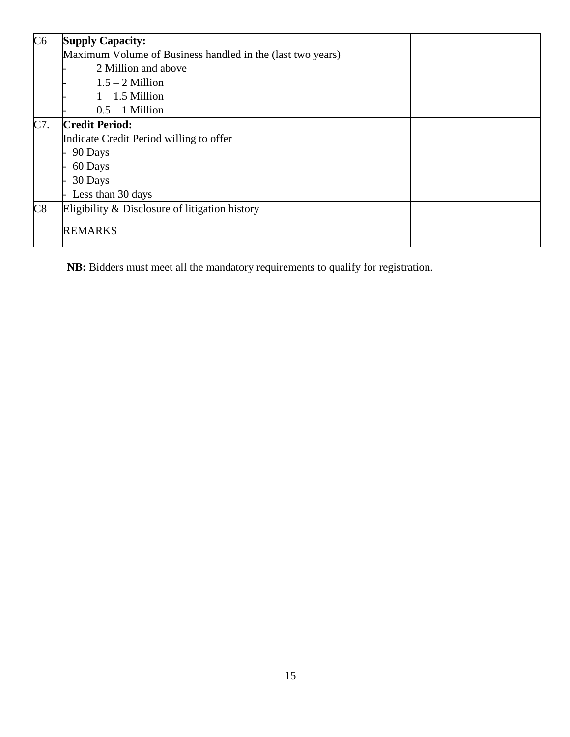| C6  | <b>Supply Capacity:</b>                                    |  |  |
|-----|------------------------------------------------------------|--|--|
|     | Maximum Volume of Business handled in the (last two years) |  |  |
|     | 2 Million and above                                        |  |  |
|     | $1.5 - 2$ Million                                          |  |  |
|     | $1 - 1.5$ Million                                          |  |  |
|     | $0.5 - 1$ Million                                          |  |  |
| C7. | <b>Credit Period:</b>                                      |  |  |
|     | Indicate Credit Period willing to offer                    |  |  |
|     | 90 Days                                                    |  |  |
|     | 60 Days                                                    |  |  |
|     | 30 Days                                                    |  |  |
|     | Less than 30 days                                          |  |  |
| C8  | Eligibility & Disclosure of litigation history             |  |  |
|     | <b>REMARKS</b>                                             |  |  |

**NB:** Bidders must meet all the mandatory requirements to qualify for registration.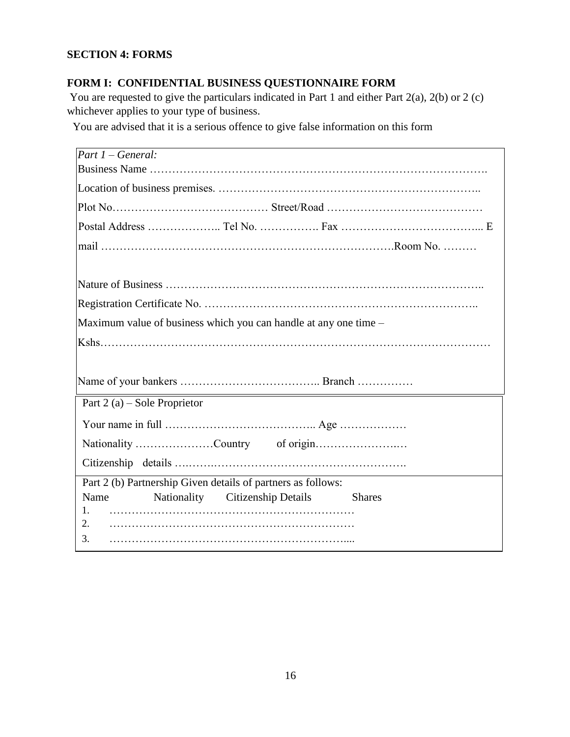# **SECTION 4: FORMS**

# **FORM I: CONFIDENTIAL BUSINESS QUESTIONNAIRE FORM**

You are requested to give the particulars indicated in Part 1 and either Part 2(a), 2(b) or 2 (c) whichever applies to your type of business.

You are advised that it is a serious offence to give false information on this form

| $Part 1 - General:$                                              |  |  |  |
|------------------------------------------------------------------|--|--|--|
|                                                                  |  |  |  |
|                                                                  |  |  |  |
|                                                                  |  |  |  |
|                                                                  |  |  |  |
|                                                                  |  |  |  |
|                                                                  |  |  |  |
|                                                                  |  |  |  |
| Maximum value of business which you can handle at any one time - |  |  |  |
|                                                                  |  |  |  |
|                                                                  |  |  |  |
|                                                                  |  |  |  |
| Part 2 (a) – Sole Proprietor                                     |  |  |  |
|                                                                  |  |  |  |
| Nationality Country of origin                                    |  |  |  |
|                                                                  |  |  |  |
| Part 2 (b) Partnership Given details of partners as follows:     |  |  |  |
| Name<br>Nationality Citizenship Details<br><b>Shares</b>         |  |  |  |
| 1.<br>2.                                                         |  |  |  |
| 3.                                                               |  |  |  |
|                                                                  |  |  |  |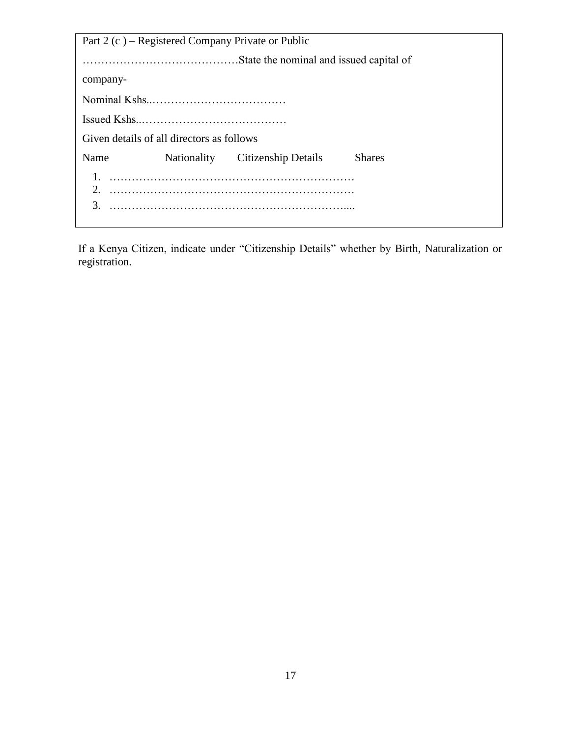| Part 2 (c) – Registered Company Private or Public |                                           |                                 |               |  |  |
|---------------------------------------------------|-------------------------------------------|---------------------------------|---------------|--|--|
|                                                   |                                           |                                 |               |  |  |
| company-                                          |                                           |                                 |               |  |  |
|                                                   |                                           |                                 |               |  |  |
|                                                   |                                           |                                 |               |  |  |
|                                                   | Given details of all directors as follows |                                 |               |  |  |
| Name                                              |                                           | Nationality Citizenship Details | <b>Shares</b> |  |  |
| 3.                                                |                                           |                                 |               |  |  |

If a Kenya Citizen, indicate under "Citizenship Details" whether by Birth, Naturalization or registration.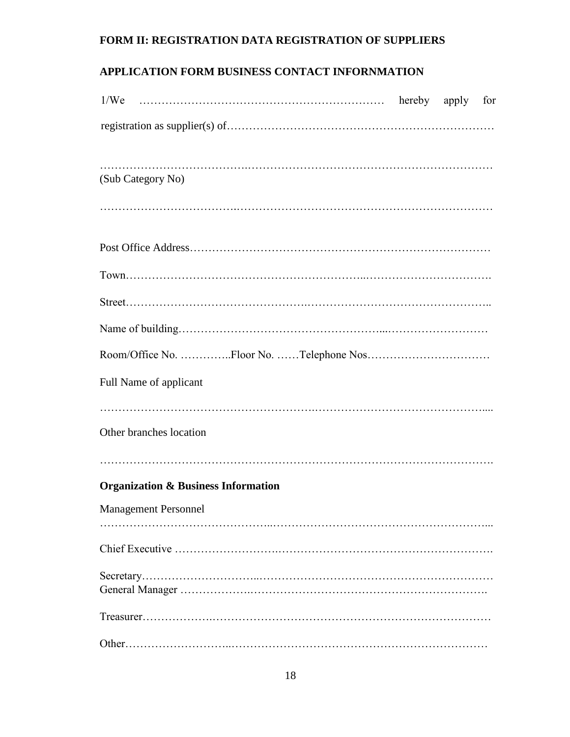# **FORM II: REGISTRATION DATA REGISTRATION OF SUPPLIERS**

# **APPLICATION FORM BUSINESS CONTACT INFORNMATION**

| (Sub Category No)                              |  |  |
|------------------------------------------------|--|--|
|                                                |  |  |
|                                                |  |  |
|                                                |  |  |
|                                                |  |  |
|                                                |  |  |
|                                                |  |  |
| Full Name of applicant                         |  |  |
|                                                |  |  |
| Other branches location                        |  |  |
|                                                |  |  |
| <b>Organization &amp; Business Information</b> |  |  |
| <b>Management Personnel</b>                    |  |  |
|                                                |  |  |
|                                                |  |  |
|                                                |  |  |
|                                                |  |  |
|                                                |  |  |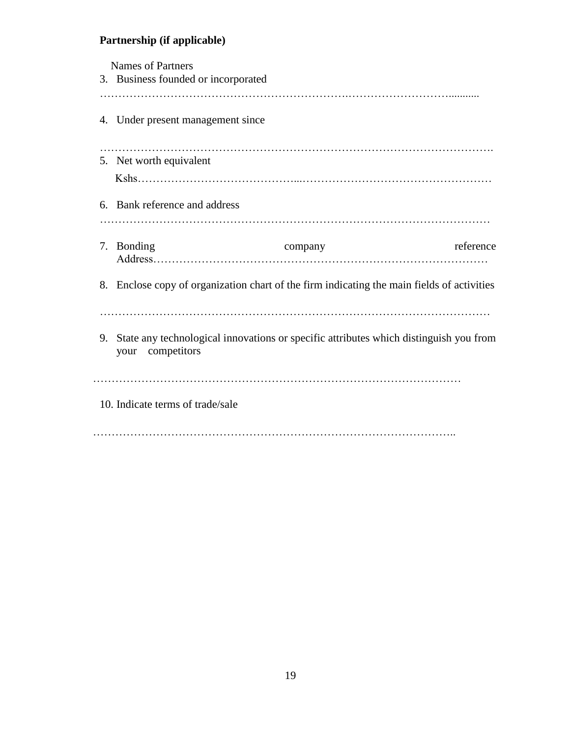#### **Partnership (if applicable)**

 Names of Partners 3. Business founded or incorporated ………………………………………………………….………………………........... 4. Under present management since ……………………………………………………………………………………………. 5. Net worth equivalent Kshs……………………………………...…………………………………………… 6. Bank reference and address …………………………………………………………………………………………… 7. Bonding company reference Address……………………………………………………………………………… 8. Enclose copy of organization chart of the firm indicating the main fields of activities …………………………………………………………………………………………… 9. State any technological innovations or specific attributes which distinguish you from your competitors ……………………………………………………………………………………… 10. Indicate terms of trade/sale ……………………………………………………………………………………..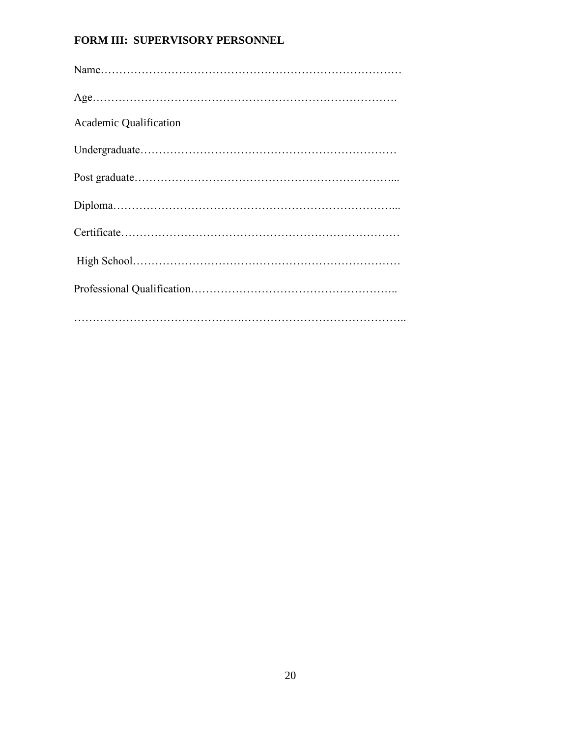# **FORM III: SUPERVISORY PERSONNEL**

| <b>Academic Qualification</b> |
|-------------------------------|
|                               |
|                               |
|                               |
|                               |
|                               |
|                               |
|                               |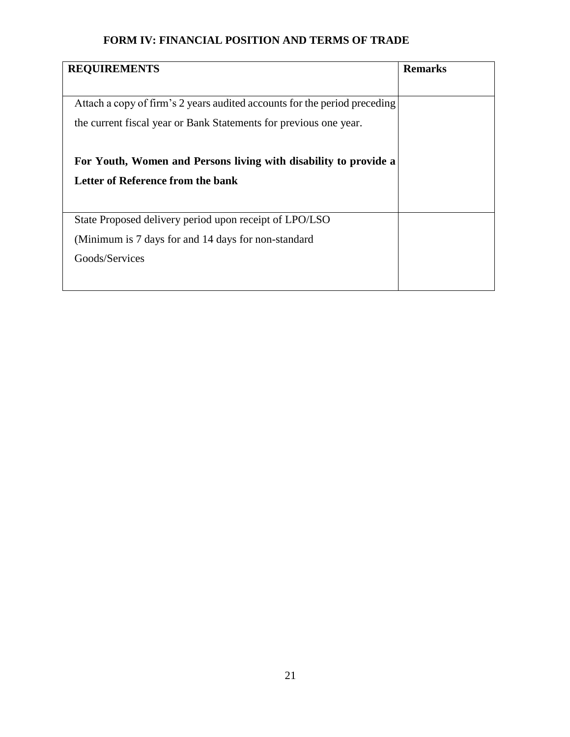# **FORM IV: FINANCIAL POSITION AND TERMS OF TRADE**

| <b>REQUIREMENTS</b>                                                       | <b>Remarks</b> |
|---------------------------------------------------------------------------|----------------|
|                                                                           |                |
| Attach a copy of firm's 2 years audited accounts for the period preceding |                |
| the current fiscal year or Bank Statements for previous one year.         |                |
|                                                                           |                |
| For Youth, Women and Persons living with disability to provide a          |                |
| Letter of Reference from the bank                                         |                |
|                                                                           |                |
| State Proposed delivery period upon receipt of LPO/LSO                    |                |
| (Minimum is 7 days for and 14 days for non-standard)                      |                |
| Goods/Services                                                            |                |
|                                                                           |                |
|                                                                           |                |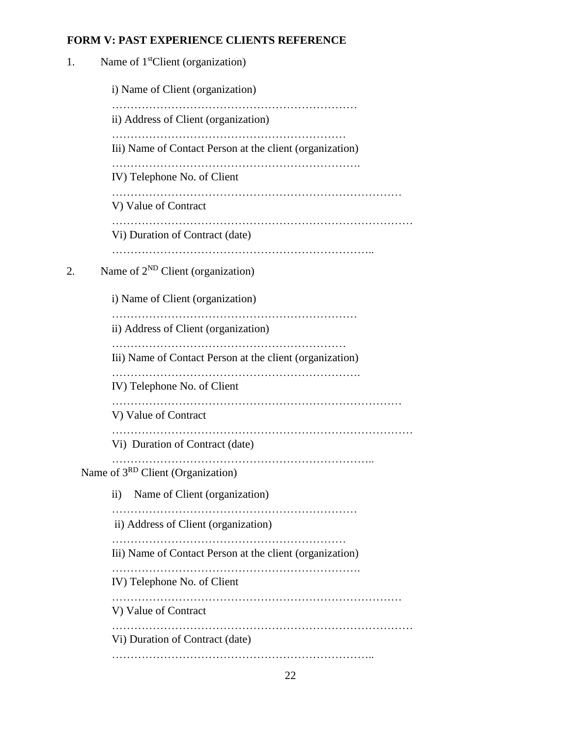# **FORM V: PAST EXPERIENCE CLIENTS REFERENCE**

| 1. | Name of 1 <sup>st</sup> Client (organization)            |  |  |  |
|----|----------------------------------------------------------|--|--|--|
|    | i) Name of Client (organization)                         |  |  |  |
|    | ii) Address of Client (organization)                     |  |  |  |
|    | Iii) Name of Contact Person at the client (organization) |  |  |  |
|    | IV) Telephone No. of Client                              |  |  |  |
|    | V) Value of Contract                                     |  |  |  |
|    | Vi) Duration of Contract (date)                          |  |  |  |
| 2. | Name of $2^{ND}$ Client (organization)                   |  |  |  |
|    | i) Name of Client (organization)                         |  |  |  |
|    | ii) Address of Client (organization)                     |  |  |  |
|    | Iii) Name of Contact Person at the client (organization) |  |  |  |
|    | IV) Telephone No. of Client                              |  |  |  |
|    | V) Value of Contract                                     |  |  |  |
|    | Vi) Duration of Contract (date)                          |  |  |  |
|    | Name of 3 <sup>RD</sup> Client (Organization)            |  |  |  |
|    | Name of Client (organization)<br>$\rm ii)$               |  |  |  |
|    | ii) Address of Client (organization)                     |  |  |  |
|    | Iii) Name of Contact Person at the client (organization) |  |  |  |
|    | IV) Telephone No. of Client                              |  |  |  |
|    | V) Value of Contract                                     |  |  |  |
|    | Vi) Duration of Contract (date)                          |  |  |  |
|    |                                                          |  |  |  |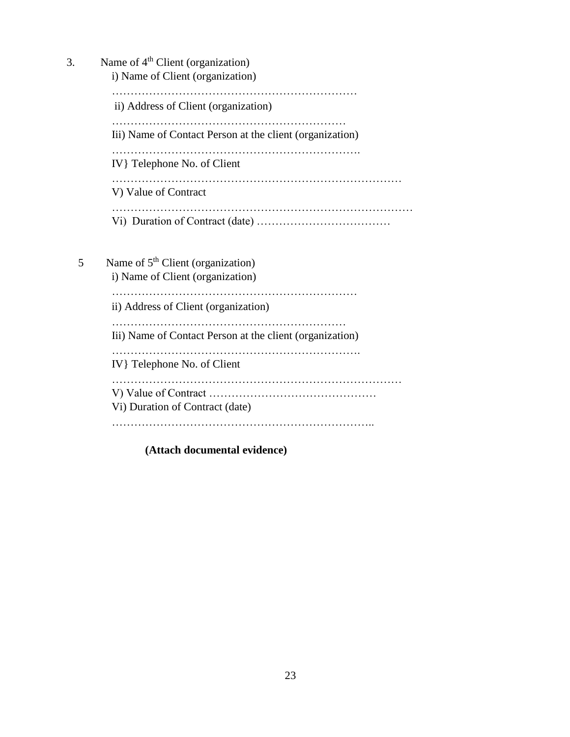| 3. | Name of $4th$ Client (organization)                      |  |  |  |
|----|----------------------------------------------------------|--|--|--|
|    | i) Name of Client (organization)                         |  |  |  |
|    |                                                          |  |  |  |
|    | ii) Address of Client (organization)                     |  |  |  |
|    | Iii) Name of Contact Person at the client (organization) |  |  |  |
|    | IV }Telephone No. of Client                              |  |  |  |
|    | V) Value of Contract                                     |  |  |  |
|    |                                                          |  |  |  |
| 5  | Name of $5th$ Client (organization)                      |  |  |  |
|    | i) Name of Client (organization)                         |  |  |  |
|    | ii) Address of Client (organization)                     |  |  |  |
|    | Iii) Name of Contact Person at the client (organization) |  |  |  |
|    | IV }Telephone No. of Client                              |  |  |  |

……………………………………………………………………

V) Value of Contract ………………………………………

Vi) Duration of Contract (date)

……………………………………………………………..

**(Attach documental evidence)**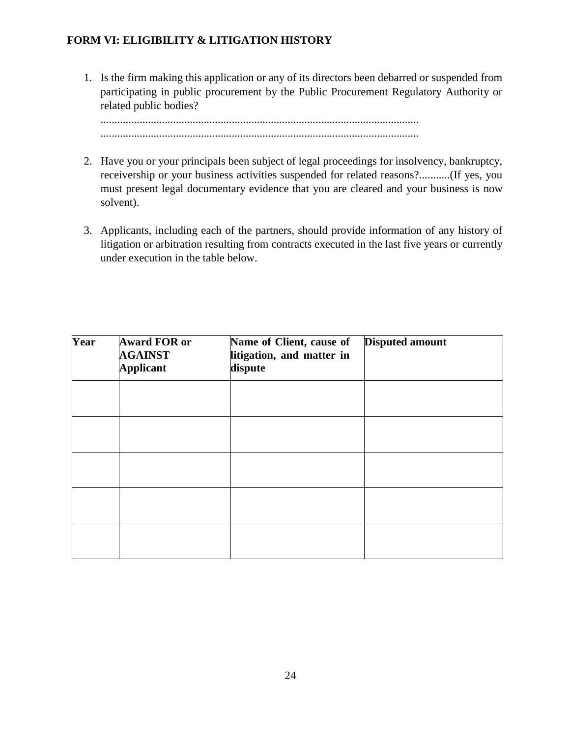## **FORM VI: ELIGIBILITY & LITIGATION HISTORY**

1. Is the firm making this application or any of its directors been debarred or suspended from participating in public procurement by the Public Procurement Regulatory Authority or related public bodies?

.................................................................................................................. ..................................................................................................................

- 2. Have you or your principals been subject of legal proceedings for insolvency, bankruptcy, receivership or your business activities suspended for related reasons?...........(If yes, you must present legal documentary evidence that you are cleared and your business is now solvent).
- 3. Applicants, including each of the partners, should provide information of any history of litigation or arbitration resulting from contracts executed in the last five years or currently under execution in the table below.

| Year | <b>Award FOR or</b><br><b>AGAINST</b><br><b>Applicant</b> | Name of Client, cause of<br>litigation, and matter in<br>dispute | <b>Disputed amount</b> |
|------|-----------------------------------------------------------|------------------------------------------------------------------|------------------------|
|      |                                                           |                                                                  |                        |
|      |                                                           |                                                                  |                        |
|      |                                                           |                                                                  |                        |
|      |                                                           |                                                                  |                        |
|      |                                                           |                                                                  |                        |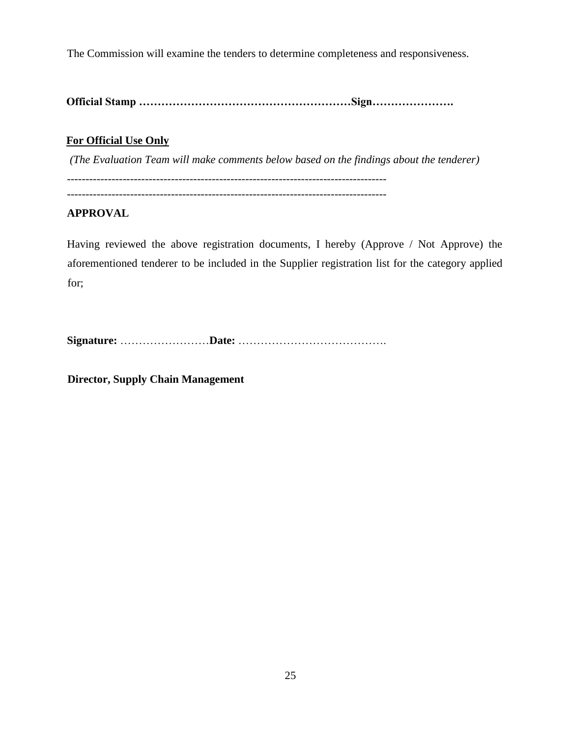The Commission will examine the tenders to determine completeness and responsiveness.

**Official Stamp …………………………………………………Sign………………….**

# **For Official Use Only**

*(The Evaluation Team will make comments below based on the findings about the tenderer)* --------------------------------------------------------------------------------------

--------------------------------------------------------------------------------------

## **APPROVAL**

Having reviewed the above registration documents, I hereby (Approve / Not Approve) the aforementioned tenderer to be included in the Supplier registration list for the category applied for;

**Signature:** ……………………**Date:** ………………………………….

**Director, Supply Chain Management**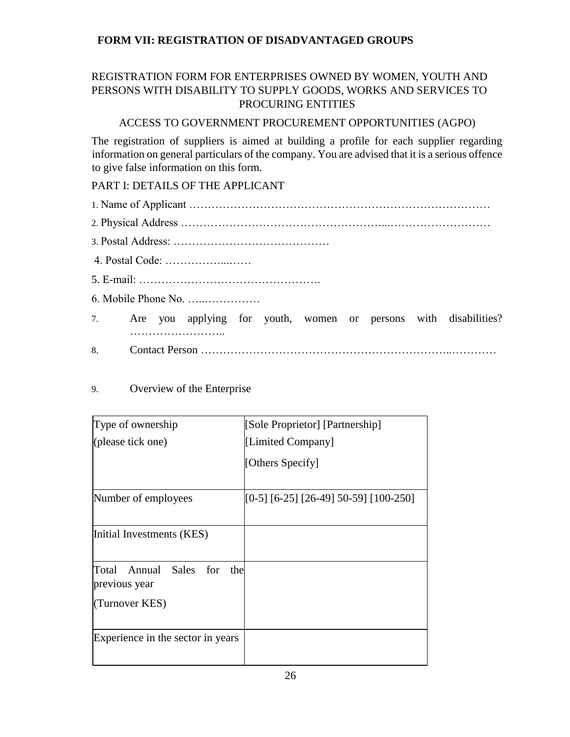# **FORM VII: REGISTRATION OF DISADVANTAGED GROUPS**

# REGISTRATION FORM FOR ENTERPRISES OWNED BY WOMEN, YOUTH AND PERSONS WITH DISABILITY TO SUPPLY GOODS, WORKS AND SERVICES TO PROCURING ENTITIES

## ACCESS TO GOVERNMENT PROCUREMENT OPPORTUNITIES (AGPO)

The registration of suppliers is aimed at building a profile for each supplier regarding information on general particulars of the company. You are advised that it is a serious offence to give false information on this form.

# PART I: DETAILS OF THE APPLICANT

- 1. Name of Applicant ……………………………………………………………………… 2. Physical Address ………………………………………………...……………………… 3. Postal Address: …………………………………… 4. Postal Code: ……………...…… 5. E-mail: …………………………………………. 6. Mobile Phone No. …..…………… 7. Are you applying for youth, women or persons with disabilities? ……………………..
- 8. Contact Person …………………………………………………………..…………

## 9. Overview of the Enterprise

| Type of ownership                              | [Sole Proprietor] [Partnership]       |
|------------------------------------------------|---------------------------------------|
| (please tick one)                              | [Limited Company]                     |
|                                                | [Others Specify]                      |
| Number of employees                            | [0-5] [6-25] [26-49] 50-59] [100-250] |
| Initial Investments (KES)                      |                                       |
| Total Annual Sales for<br>the<br>previous year |                                       |
| (Turnover KES)                                 |                                       |
| Experience in the sector in years              |                                       |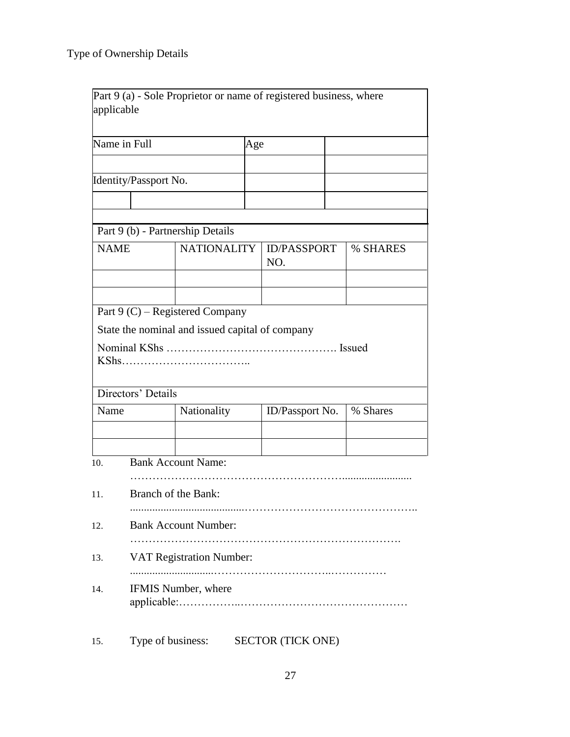| applicable  |                               |                                                 |     | Part 9 (a) - Sole Proprietor or name of registered business, where |          |
|-------------|-------------------------------|-------------------------------------------------|-----|--------------------------------------------------------------------|----------|
|             | Name in Full                  |                                                 | Age |                                                                    |          |
|             |                               |                                                 |     |                                                                    |          |
|             | Identity/Passport No.         |                                                 |     |                                                                    |          |
|             |                               |                                                 |     |                                                                    |          |
|             |                               | Part 9 (b) - Partnership Details                |     |                                                                    |          |
| <b>NAME</b> |                               | <b>NATIONALITY</b>                              |     | <b>ID/PASSPORT</b><br>NO.                                          | % SHARES |
|             |                               |                                                 |     |                                                                    |          |
|             |                               | Part $9 (C)$ – Registered Company               |     |                                                                    |          |
|             |                               | State the nominal and issued capital of company |     |                                                                    |          |
|             |                               |                                                 |     |                                                                    |          |
|             | Directors' Details            |                                                 |     |                                                                    |          |
| Name        |                               | Nationality                                     |     | ID/Passport No.                                                    | % Shares |
|             |                               |                                                 |     |                                                                    |          |
| 10.         |                               | <b>Bank Account Name:</b>                       |     |                                                                    |          |
| 11.         |                               | Branch of the Bank:                             |     |                                                                    |          |
| 12.         | <b>Bank Account Number:</b>   |                                                 |     |                                                                    |          |
| 13.         | .<br>VAT Registration Number: |                                                 |     |                                                                    |          |
| 14.         | IFMIS Number, where           |                                                 |     |                                                                    |          |
| 15.         | Type of business:             |                                                 |     | <b>SECTOR (TICK ONE)</b>                                           |          |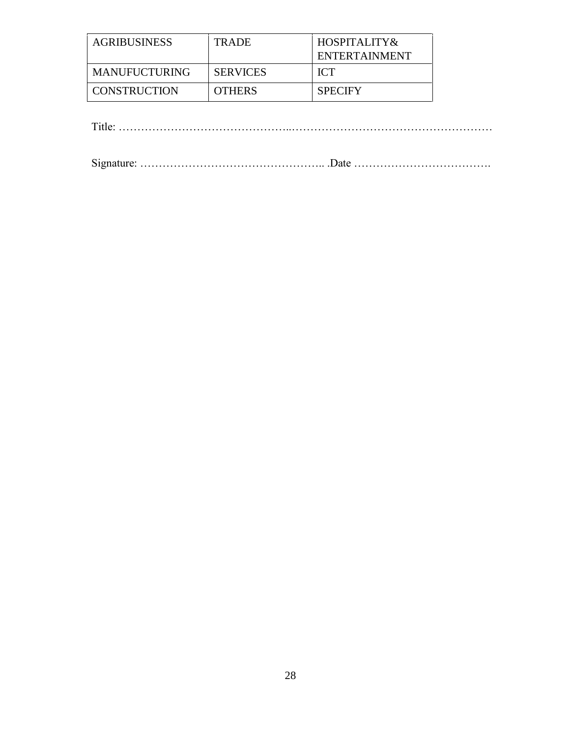| <b>AGRIBUSINESS</b> | <b>TRADE</b>    | $HOSPITALITY\&$ |
|---------------------|-----------------|-----------------|
|                     |                 | ENTERTAINMENT   |
| MANUFUCTURING       | <b>SERVICES</b> | ICT.            |
| CONSTRUCTION        | <b>OTHERS</b>   | <b>SPECIFY</b>  |

Title: ………………………………………..………………………………………………

Signature: ………………………………………….. .Date ……………………………….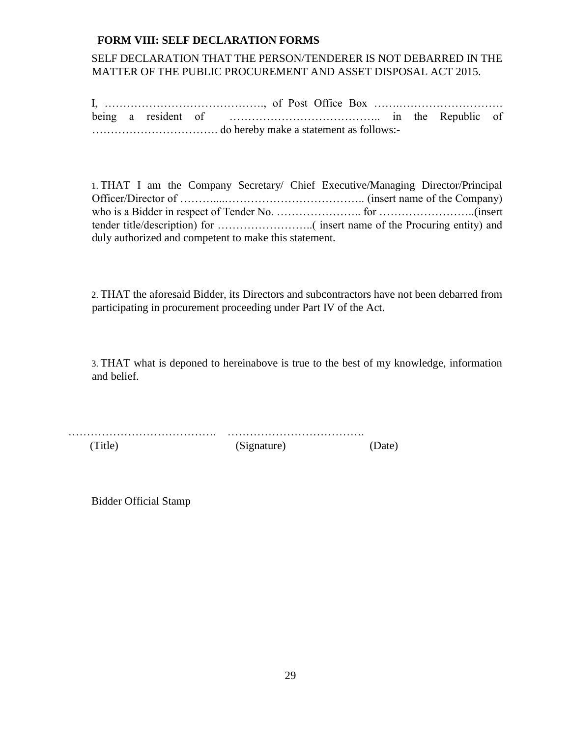#### **FORM VIII: SELF DECLARATION FORMS**

## SELF DECLARATION THAT THE PERSON/TENDERER IS NOT DEBARRED IN THE MATTER OF THE PUBLIC PROCUREMENT AND ASSET DISPOSAL ACT 2015.

I, ……………………………………., of Post Office Box …….………………………. being a resident of ………………………………….. in the Republic of ……………………………. do hereby make a statement as follows:-

1. THAT I am the Company Secretary/ Chief Executive/Managing Director/Principal Officer/Director of ………....……………………………….. (insert name of the Company) who is a Bidder in respect of Tender No. ………………….. for ……………………..(insert tender title/description) for ……………………..( insert name of the Procuring entity) and duly authorized and competent to make this statement.

2. THAT the aforesaid Bidder, its Directors and subcontractors have not been debarred from participating in procurement proceeding under Part IV of the Act.

3. THAT what is deponed to hereinabove is true to the best of my knowledge, information and belief.

…………………………………. ………………………………. (Title) (Signature) (Date)

Bidder Official Stamp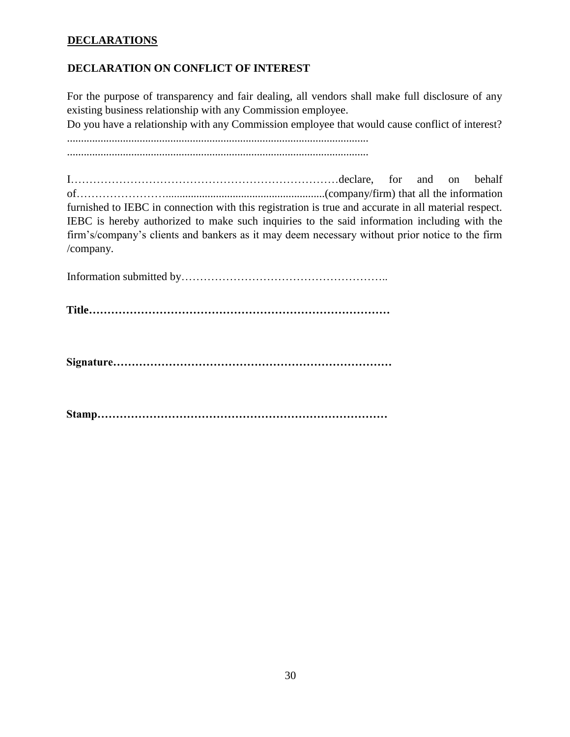## **DECLARATIONS**

## **DECLARATION ON CONFLICT OF INTEREST**

For the purpose of transparency and fair dealing, all vendors shall make full disclosure of any existing business relationship with any Commission employee.

Do you have a relationship with any Commission employee that would cause conflict of interest?

............................................................................................................

............................................................................................................

I………………………………………………………………declare, for and on behalf of…………………….........................................................(company/firm) that all the information furnished to IEBC in connection with this registration is true and accurate in all material respect. IEBC is hereby authorized to make such inquiries to the said information including with the firm's/company's clients and bankers as it may deem necessary without prior notice to the firm /company.

Information submitted by………………………………………………..

**Title………………………………………………………………………**

**Signature…………………………………………………………………** 

**Stamp……………………………………………………………………**